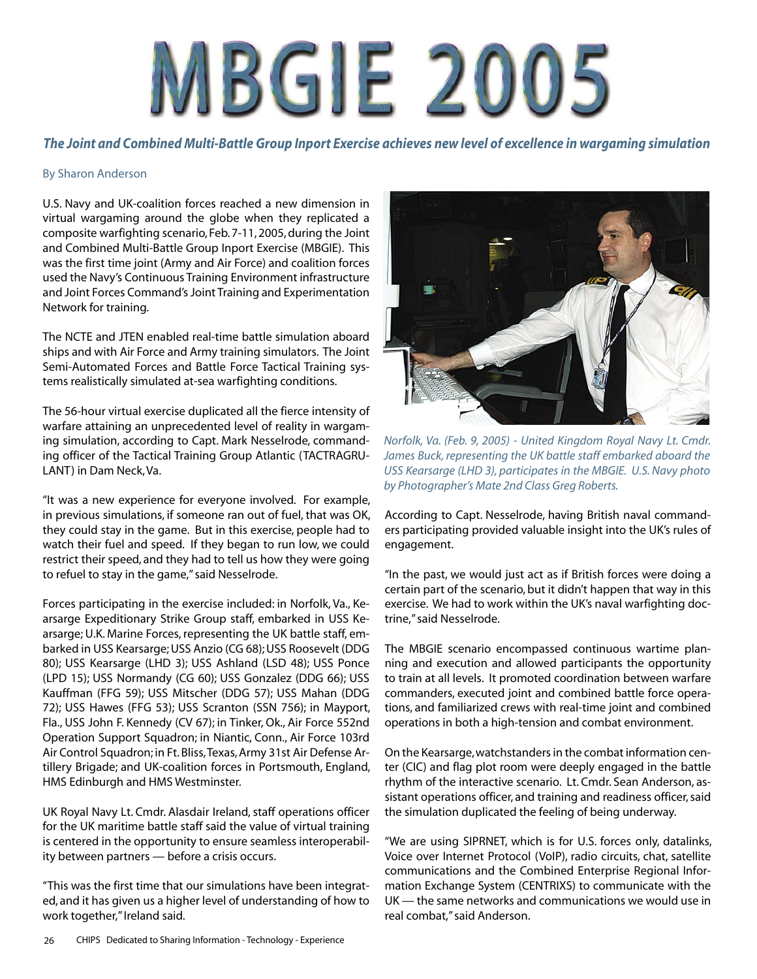## **MBGIE 2005**

*The Joint and Combined Multi-Battle Group Inport Exercise achieves new level of excellence in wargaming simulation* 

## By Sharon Anderson

U.S. Navy and UK-coalition forces reached a new dimension in virtual wargaming around the globe when they replicated a composite warfighting scenario, Feb. 7-11, 2005, during the Joint and Combined Multi-Battle Group Inport Exercise (MBGIE). This was the first time joint (Army and Air Force) and coalition forces used the Navy's Continuous Training Environment infrastructure and Joint Forces Command's Joint Training and Experimentation Network for training.

The NCTE and JTEN enabled real-time battle simulation aboard ships and with Air Force and Army training simulators. The Joint Semi-Automated Forces and Battle Force Tactical Training systems realistically simulated at-sea warfighting conditions.

The 56-hour virtual exercise duplicated all the fierce intensity of warfare attaining an unprecedented level of reality in wargaming simulation, according to Capt. Mark Nesselrode, commanding officer of the Tactical Training Group Atlantic (TACTRAGRU-LANT) in Dam Neck, Va.

"It was a new experience for everyone involved. For example, in previous simulations, if someone ran out of fuel, that was OK, they could stay in the game. But in this exercise, people had to watch their fuel and speed. If they began to run low, we could restrict their speed, and they had to tell us how they were going to refuel to stay in the game," said Nesselrode.

Forces participating in the exercise included: in Norfolk, Va., Kearsarge Expeditionary Strike Group staff, embarked in USS Kearsarge; U.K. Marine Forces, representing the UK battle staff, embarked in USS Kearsarge; USS Anzio (CG 68); USS Roosevelt (DDG 80); USS Kearsarge (LHD 3); USS Ashland (LSD 48); USS Ponce (LPD 15); USS Normandy (CG 60); USS Gonzalez (DDG 66); USS Kauffman (FFG 59); USS Mitscher (DDG 57); USS Mahan (DDG 72); USS Hawes (FFG 53); USS Scranton (SSN 756); in Mayport, Fla., USS John F. Kennedy (CV 67); in Tinker, Ok., Air Force 552nd Operation Support Squadron; in Niantic, Conn., Air Force 103rd Air Control Squadron; in Ft. Bliss, Texas, Army 31st Air Defense Artillery Brigade; and UK-coalition forces in Portsmouth, England, HMS Edinburgh and HMS Westminster.

UK Royal Navy Lt. Cmdr. Alasdair Ireland, staff operations officer for the UK maritime battle staff said the value of virtual training is centered in the opportunity to ensure seamless interoperability between partners — before a crisis occurs.

"This was the first time that our simulations have been integrated, and it has given us a higher level of understanding of how to work together," Ireland said.



*Norfolk, Va. (Feb. 9, 2005) - United Kingdom Royal Navy Lt. Cmdr. James Buck, representing the UK battle staff embarked aboard the USS Kearsarge (LHD 3), participates in the MBGIE. U.S. Navy photo by Photographer's Mate 2nd Class Greg Roberts.*

According to Capt. Nesselrode, having British naval commanders participating provided valuable insight into the UK's rules of engagement.

"In the past, we would just act as if British forces were doing a certain part of the scenario, but it didn't happen that way in this exercise. We had to work within the UK's naval warfighting doctrine," said Nesselrode.

The MBGIE scenario encompassed continuous wartime planning and execution and allowed participants the opportunity to train at all levels. It promoted coordination between warfare commanders, executed joint and combined battle force operations, and familiarized crews with real-time joint and combined operations in both a high-tension and combat environment.

On the Kearsarge, watchstanders in the combat information center (CIC) and flag plot room were deeply engaged in the battle rhythm of the interactive scenario. Lt. Cmdr. Sean Anderson, assistant operations officer, and training and readiness officer, said the simulation duplicated the feeling of being underway.

"We are using SIPRNET, which is for U.S. forces only, datalinks, Voice over Internet Protocol (VoIP), radio circuits, chat, satellite communications and the Combined Enterprise Regional Information Exchange System (CENTRIXS) to communicate with the UK — the same networks and communications we would use in real combat," said Anderson.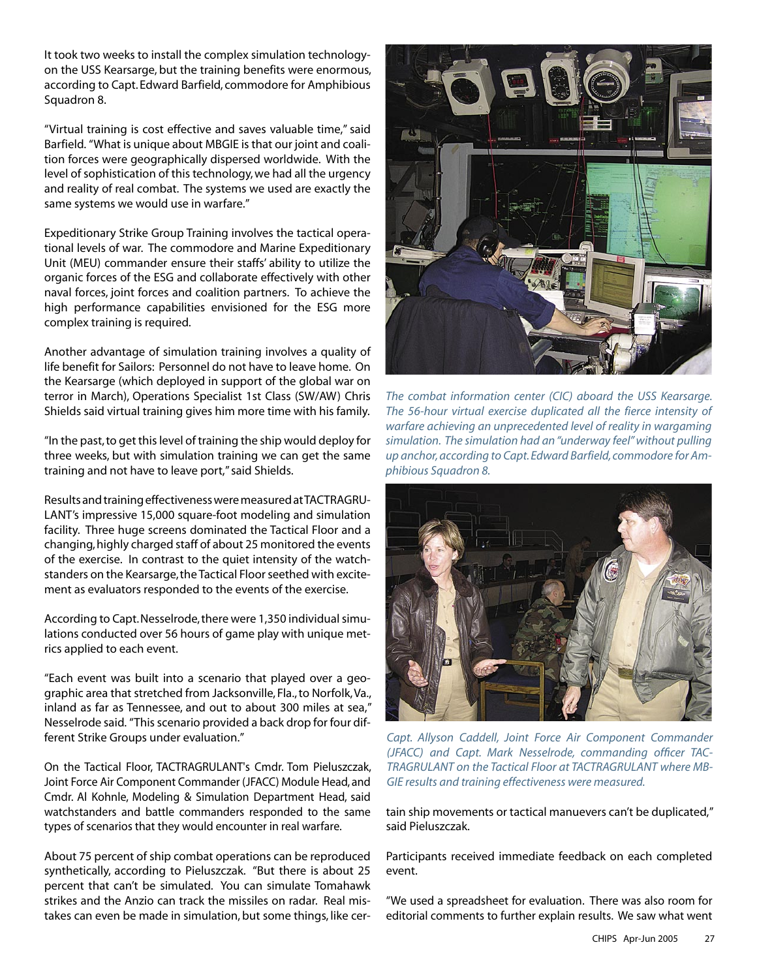It took two weeks to install the complex simulation technologyon the USS Kearsarge, but the training benefits were enormous, according to Capt. Edward Barfield, commodore for Amphibious Squadron 8.

"Virtual training is cost effective and saves valuable time," said Barfield. "What is unique about MBGIE is that our joint and coalition forces were geographically dispersed worldwide. With the level of sophistication of this technology, we had all the urgency and reality of real combat. The systems we used are exactly the same systems we would use in warfare."

Expeditionary Strike Group Training involves the tactical operational levels of war. The commodore and Marine Expeditionary Unit (MEU) commander ensure their staffs' ability to utilize the organic forces of the ESG and collaborate effectively with other naval forces, joint forces and coalition partners. To achieve the high performance capabilities envisioned for the ESG more complex training is required.

Another advantage of simulation training involves a quality of life benefit for Sailors: Personnel do not have to leave home. On the Kearsarge (which deployed in support of the global war on terror in March), Operations Specialist 1st Class (SW/AW) Chris Shields said virtual training gives him more time with his family.

"In the past, to get this level of training the ship would deploy for three weeks, but with simulation training we can get the same training and not have to leave port," said Shields.

Results and training effectiveness were measured at TACTRAGRU-LANT's impressive 15,000 square-foot modeling and simulation facility. Three huge screens dominated the Tactical Floor and a changing, highly charged staff of about 25 monitored the events of the exercise. In contrast to the quiet intensity of the watchstanders on the Kearsarge, the Tactical Floor seethed with excitement as evaluators responded to the events of the exercise.

According to Capt. Nesselrode, there were 1,350 individual simulations conducted over 56 hours of game play with unique metrics applied to each event.

"Each event was built into a scenario that played over a geographic area that stretched from Jacksonville, Fla., to Norfolk, Va., inland as far as Tennessee, and out to about 300 miles at sea," Nesselrode said. "This scenario provided a back drop for four different Strike Groups under evaluation."

On the Tactical Floor, TACTRAGRULANT's Cmdr. Tom Pieluszczak, Joint Force Air Component Commander (JFACC) Module Head, and Cmdr. Al Kohnle, Modeling & Simulation Department Head, said watchstanders and battle commanders responded to the same types of scenarios that they would encounter in real warfare.

About 75 percent of ship combat operations can be reproduced synthetically, according to Pieluszczak. "But there is about 25 percent that can't be simulated. You can simulate Tomahawk strikes and the Anzio can track the missiles on radar. Real mistakes can even be made in simulation, but some things, like cer-



*The combat information center (CIC) aboard the USS Kearsarge. The 56-hour virtual exercise duplicated all the fierce intensity of warfare achieving an unprecedented level of reality in wargaming simulation. The simulation had an "underway feel" without pulling up anchor, according to Capt. Edward Barfield, commodore for Amphibious Squadron 8.* 



*Capt. Allyson Caddell, Joint Force Air Component Commander (JFACC) and Capt. Mark Nesselrode, commanding officer TAC-TRAGRULANT on the Tactical Floor at TACTRAGRULANT where MB-GIE results and training effectiveness were measured.* 

tain ship movements or tactical manuevers can't be duplicated," said Pieluszczak.

Participants received immediate feedback on each completed event.

"We used a spreadsheet for evaluation. There was also room for editorial comments to further explain results. We saw what went